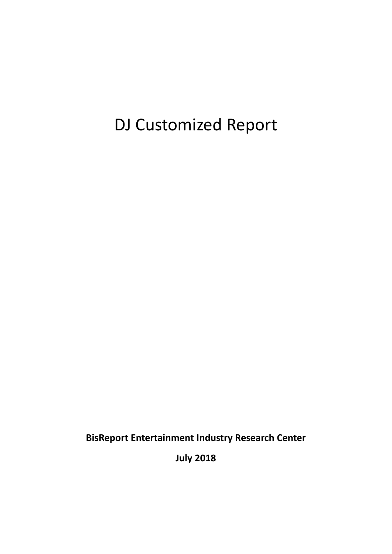# DJ Customized Report

**BisReport Entertainment Industry Research Center**

**July 2018**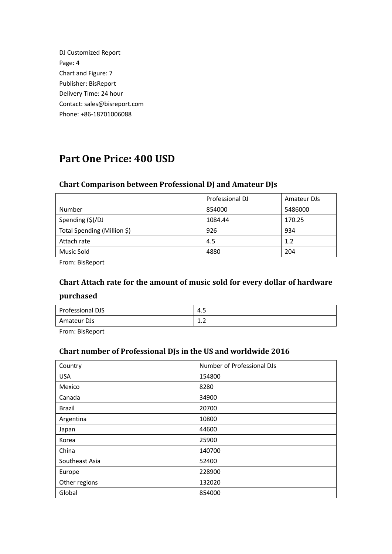| DJ Customized Report         |
|------------------------------|
| Page: 4                      |
| Chart and Figure: 7          |
| Publisher: BisReport         |
| Delivery Time: 24 hour       |
| Contact: sales@bisreport.com |
| Phone: +86-18701006088       |

### **Part One Price: 400 USD**

#### **Chart Comparison between Professional DJ and Amateur DJs**

|                             | Professional DJ | Amateur DJs |
|-----------------------------|-----------------|-------------|
| Number                      | 854000          | 5486000     |
| Spending (\$)/DJ            | 1084.44         | 170.25      |
| Total Spending (Million \$) | 926             | 934         |
| Attach rate                 | 4.5             | 1.2         |
| Music Sold                  | 4880            | 204         |

From: BisReport

### **Chart Attach rate for the amount of music sold for every dollar of hardware purchased**

| Professional DJS | 4.5                                                |
|------------------|----------------------------------------------------|
| Amateur DJs      | $\sim$<br>$\overline{\phantom{a}}$<br>. . <u>.</u> |

From: BisReport

#### **Chart number of Professional DJs in the US and worldwide 2016**

| Country        | Number of Professional DJs |
|----------------|----------------------------|
| <b>USA</b>     | 154800                     |
| Mexico         | 8280                       |
| Canada         | 34900                      |
| Brazil         | 20700                      |
| Argentina      | 10800                      |
| Japan          | 44600                      |
| Korea          | 25900                      |
| China          | 140700                     |
| Southeast Asia | 52400                      |
| Europe         | 228900                     |
| Other regions  | 132020                     |
| Global         | 854000                     |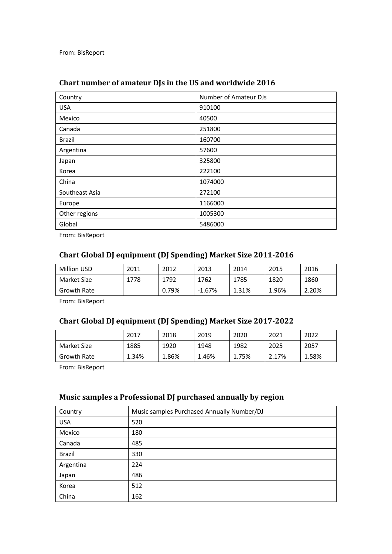From: BisReport

| Country        | Number of Amateur DJs |
|----------------|-----------------------|
| <b>USA</b>     | 910100                |
| Mexico         | 40500                 |
| Canada         | 251800                |
| <b>Brazil</b>  | 160700                |
| Argentina      | 57600                 |
| Japan          | 325800                |
| Korea          | 222100                |
| China          | 1074000               |
| Southeast Asia | 272100                |
| Europe         | 1166000               |
| Other regions  | 1005300               |
| Global         | 5486000               |

#### **Chart number of amateur DJs in the US and worldwide 2016**

From: BisReport

#### **Chart Global DJ equipment (DJ Spending) Market Size 2011-2016**

| <b>Million USD</b> | 2011 | 2012  | 2013     | 2014  | 2015  | 2016  |
|--------------------|------|-------|----------|-------|-------|-------|
| Market Size        | 778  | 1792  | 1762     | 1785  | 1820  | 1860  |
| Growth Rate        |      | 0.79% | $-1.67%$ | 1.31% | 1.96% | 2.20% |

From: BisReport

#### **Chart Global DJ equipment (DJ Spending) Market Size 2017-2022**

|                    | 2017  | 2018  | 2019  | 2020  | 2021  | 2022  |
|--------------------|-------|-------|-------|-------|-------|-------|
| Market Size        | 1885  | 1920  | 1948  | 1982  | 2025  | 2057  |
| <b>Growth Rate</b> | 1.34% | 1.86% | 1.46% | 1.75% | 2.17% | 1.58% |

From: BisReport

#### **Music samples a Professional DJ purchased annually by region**

| Country    | Music samples Purchased Annually Number/DJ |
|------------|--------------------------------------------|
| <b>USA</b> | 520                                        |
| Mexico     | 180                                        |
| Canada     | 485                                        |
| Brazil     | 330                                        |
| Argentina  | 224                                        |
| Japan      | 486                                        |
| Korea      | 512                                        |
| China      | 162                                        |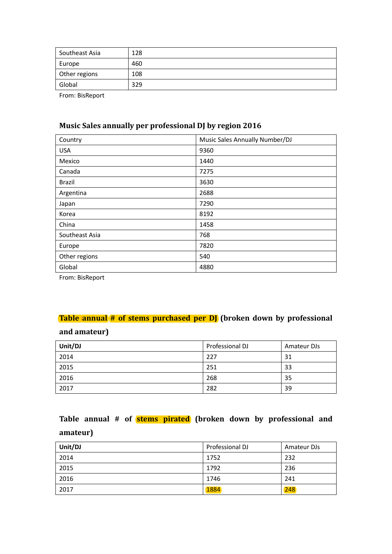| Southeast Asia | 128 |
|----------------|-----|
| Europe         | 460 |
| Other regions  | 108 |
| Global         | 329 |

From: BisReport

#### **Music Sales annually per professional DJ by region 2016**

| Country        | Music Sales Annually Number/DJ |
|----------------|--------------------------------|
| <b>USA</b>     | 9360                           |
| Mexico         | 1440                           |
| Canada         | 7275                           |
| <b>Brazil</b>  | 3630                           |
| Argentina      | 2688                           |
| Japan          | 7290                           |
| Korea          | 8192                           |
| China          | 1458                           |
| Southeast Asia | 768                            |
| Europe         | 7820                           |
| Other regions  | 540                            |
| Global         | 4880                           |

From: BisReport

#### **Table annual # of stems purchased per DJ** (broken down by professional

#### **and amateur)**

| Unit/DJ | Professional DJ | Amateur DJs |
|---------|-----------------|-------------|
| 2014    | 227             | 31          |
| 2015    | 251             | 33          |
| 2016    | 268             | 35          |
| 2017    | 282             | 39          |

### **Table annual # of stems pirated (broken down by professional and amateur)**

| Unit/DJ | Professional DJ | Amateur DJs |
|---------|-----------------|-------------|
| 2014    | 1752            | 232         |
| 2015    | 1792            | 236         |
| 2016    | 1746            | 241         |
| 2017    | 1884            | 248         |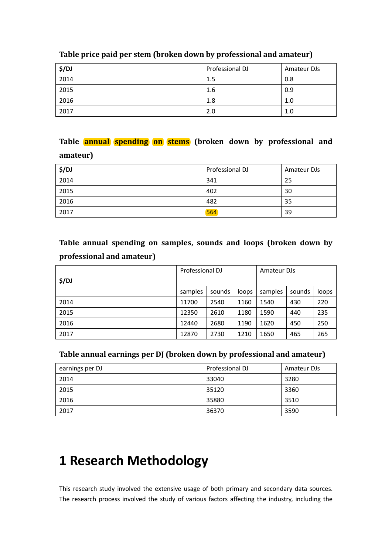| \$/DJ | Professional DJ | Amateur DJs |
|-------|-----------------|-------------|
| 2014  | 1.5             | 0.8         |
| 2015  | 1.6             | 0.9         |
| 2016  | 1.8             | 1.0         |
| 2017  | 2.0             | 1.0         |

#### **Table price paid per stem (broken down by professional and amateur)**

### **Table annual spending on stems (broken down by professional and amateur)**

| \$/DJ | Professional DJ | Amateur DJs |
|-------|-----------------|-------------|
| 2014  | 341             | 25          |
| 2015  | 402             | 30          |
| 2016  | 482             | 35          |
| 2017  | 564             | 39          |

**Table annual spending on samples, sounds and loops (broken down by professional and amateur)**

|       | Professional DJ |        | Amateur DJs |         |        |       |
|-------|-----------------|--------|-------------|---------|--------|-------|
| \$/DJ |                 |        |             |         |        |       |
|       | samples         | sounds | loops       | samples | sounds | loops |
| 2014  | 11700           | 2540   | 1160        | 1540    | 430    | 220   |
| 2015  | 12350           | 2610   | 1180        | 1590    | 440    | 235   |
| 2016  | 12440           | 2680   | 1190        | 1620    | 450    | 250   |
| 2017  | 12870           | 2730   | 1210        | 1650    | 465    | 265   |

#### **Table annual earnings per DJ (broken down by professional and amateur)**

| earnings per DJ | Professional DJ | Amateur DJs |
|-----------------|-----------------|-------------|
| 2014            | 33040           | 3280        |
| 2015            | 35120           | 3360        |
| 2016            | 35880           | 3510        |
| 2017            | 36370           | 3590        |

# **1 Research Methodology**

This research study involved the extensive usage of both primary and secondary data sources. The research process involved the study of various factors affecting the industry, including the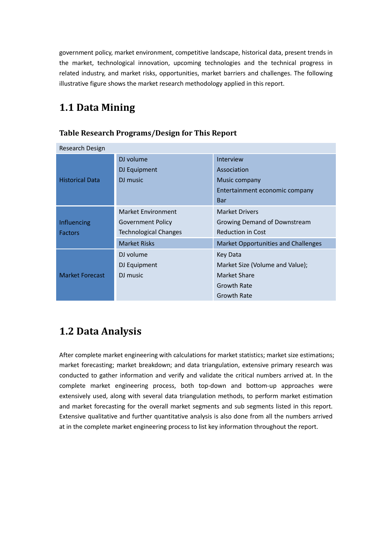government policy, market environment, competitive landscape, historical data, present trends in the market, technological innovation, upcoming technologies and the technical progress in related industry, and market risks, opportunities, market barriers and challenges. The following illustrative figure shows the market research methodology applied in this report.

### **1.1 Data Mining**

| Research Design        |                           |                                     |
|------------------------|---------------------------|-------------------------------------|
|                        | DJ volume                 | <b>Interview</b>                    |
|                        | DJ Equipment              | Association                         |
| <b>Historical Data</b> | DJ music                  | Music company                       |
|                        |                           | Entertainment economic company      |
|                        |                           | Bar                                 |
|                        | <b>Market Environment</b> | <b>Market Drivers</b>               |
| Influencing            | Government Policy         | Growing Demand of Downstream        |
| <b>Factors</b>         | Technological Changes     | <b>Reduction in Cost</b>            |
|                        | <b>Market Risks</b>       | Market Opportunities and Challenges |
|                        | DJ volume                 | Key Data                            |
| <b>Market Forecast</b> | DJ Equipment              | Market Size (Volume and Value);     |
|                        | DJ music                  | Market Share                        |
|                        |                           | <b>Growth Rate</b>                  |
|                        |                           | Growth Rate                         |

#### **Table Research Programs/Design for This Report**

### **1.2 Data Analysis**

After complete market engineering with calculations for market statistics; market size estimations; market forecasting; market breakdown; and data triangulation, extensive primary research was conducted to gather information and verify and validate the critical numbers arrived at. In the complete market engineering process, both top-down and bottom-up approaches were extensively used, along with several data triangulation methods, to perform market estimation and market forecasting for the overall market segments and sub segments listed in this report. Extensive qualitative and further quantitative analysis is also done from all the numbers arrived at in the complete market engineering process to list key information throughout the report.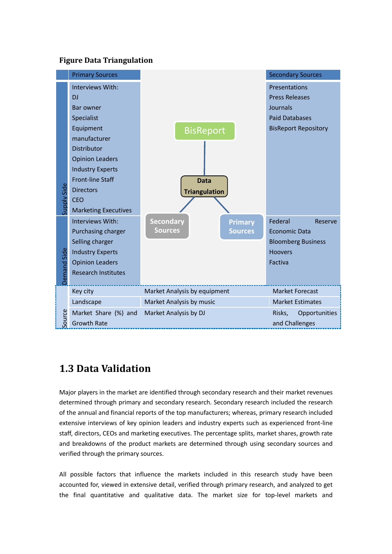#### **Figure Data Triangulation**



### **1.3 Data Validation**

Major players in the market are identified through secondary research and their market revenues determined through primary and secondary research. Secondary research included the research of the annual and financial reports of the top manufacturers; whereas, primary research included extensive interviews of key opinion leaders and industry experts such as experienced front-line staff, directors, CEOs and marketing executives. The percentage splits, market shares, growth rate and breakdowns of the product markets are determined through using secondary sources and verified through the primary sources.

All possible factors that influence the markets included in this research study have been accounted for, viewed in extensive detail, verified through primary research, and analyzed to get the final quantitative and qualitative data. The market size for top-level markets and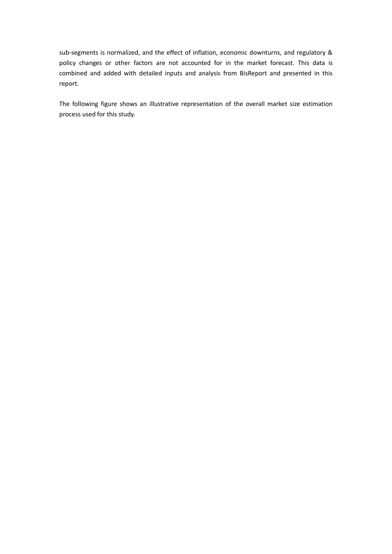sub-segments is normalized, and the effect of inflation, economic downturns, and regulatory & policy changes or other factors are not accounted for in the market forecast. This data is combined and added with detailed inputs and analysis from BisReport and presented in this report.

The following figure shows an illustrative representation of the overall market size estimation process used for this study.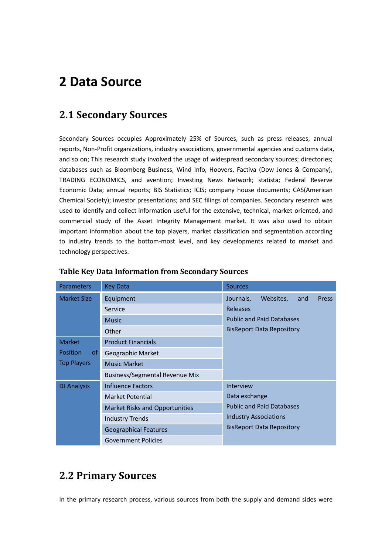## **2 Data Source**

### **2.1 Secondary Sources**

Secondary Sources occupies Approximately 25% of Sources, such as press releases, annual reports, Non-Profit organizations, industry associations, governmental agencies and customs data, and so on; This research study involved the usage of widespread secondary sources; directories; databases such as Bloomberg Business, Wind Info, Hoovers, Factiva (Dow Jones & Company), TRADING ECONOMICS, and avention; Investing News Network; statista; Federal Reserve Economic Data; annual reports; BIS Statistics; ICIS; company house documents; CAS(American Chemical Society); investor presentations; and SEC filings of companies. Secondary research was used to identify and collect information useful for the extensive, technical, market-oriented, and commercial study of the Asset Integrity Management market. It was also used to obtain important information about the top players, market classification and segmentation according to industry trends to the bottom-most level, and key developments related to market and technology perspectives.

| Parameters         | <b>Key Data</b>                       | <b>Sources</b>                                |  |  |
|--------------------|---------------------------------------|-----------------------------------------------|--|--|
| <b>Market Size</b> | Equipment                             | Journals,<br>Websites,<br><b>Press</b><br>and |  |  |
|                    | Service                               | Releases                                      |  |  |
|                    | <b>Music</b>                          | <b>Public and Paid Databases</b>              |  |  |
|                    | Other                                 | <b>BisReport Data Repository</b>              |  |  |
| <b>Market</b>      | <b>Product Financials</b>             |                                               |  |  |
| Position<br>0f     | Geographic Market                     |                                               |  |  |
| <b>Top Players</b> | <b>Music Market</b>                   |                                               |  |  |
|                    | <b>Business/Segmental Revenue Mix</b> |                                               |  |  |
| <b>DJ Analysis</b> | Influence Factors                     | Interview                                     |  |  |
|                    | Market Potential                      | Data exchange                                 |  |  |
|                    | <b>Market Risks and Opportunities</b> | <b>Public and Paid Databases</b>              |  |  |
|                    | <b>Industry Trends</b>                | <b>Industry Associations</b>                  |  |  |
|                    | <b>Geographical Features</b>          | <b>BisReport Data Repository</b>              |  |  |
|                    | <b>Government Policies</b>            |                                               |  |  |

#### **Table Key Data Information from Secondary Sources**

### **2.2 Primary Sources**

In the primary research process, various sources from both the supply and demand sides were